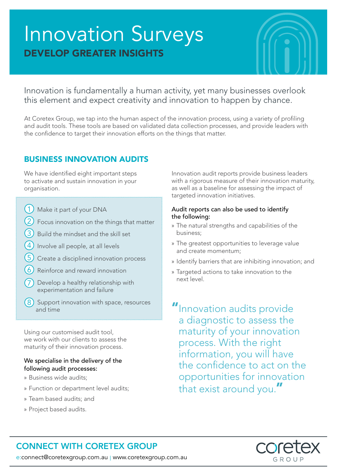# Innovation Surveys DEVELOP GREATER INSIGHTS



Innovation is fundamentally a human activity, yet many businesses overlook this element and expect creativity and innovation to happen by chance.

At Coretex Group, we tap into the human aspect of the innovation process, using a variety of profiling and audit tools. These tools are based on validated data collection processes, and provide leaders with the confidence to target their innovation efforts on the things that matter.

### BUSINESS INNOVATION AUDITS

We have identified eight important steps to activate and sustain innovation in your organisation.

- (1) Make it part of your DNA
- $(2)$  Focus innovation on the things that matter
- $(3)$  Build the mindset and the skill set
- $(4)$  Involve all people, at all levels
- $(5)$  Create a disciplined innovation process
- $(6)$  Reinforce and reward innovation
- Develop a healthy relationship with experimentation and failure
- $(8)$  Support innovation with space, resources and time

Using our customised audit tool, we work with our clients to assess the maturity of their innovation process.

#### We specialise in the delivery of the following audit processes:

- » Business wide audits;
- » Function or department level audits;
- » Team based audits; and
- » Project based audits.

Innovation audit reports provide business leaders with a rigorous measure of their innovation maturity, as well as a baseline for assessing the impact of targeted innovation initiatives.

#### Audit reports can also be used to identify the following:

- » The natural strengths and capabilities of the business;
- » The greatest opportunities to leverage value and create momentum;
- » Identify barriers that are inhibiting innovation; and
- » Targeted actions to take innovation to the next level.

"Innovation audits provide a diagnostic to assess the maturity of your innovation process. With the right information, you will have the confidence to act on the opportunities for innovation that exist around you."



## CONNECT WITH CORETEX GROUP

e:connect@coretexgroup.com.au | www.coretexgroup.com.au